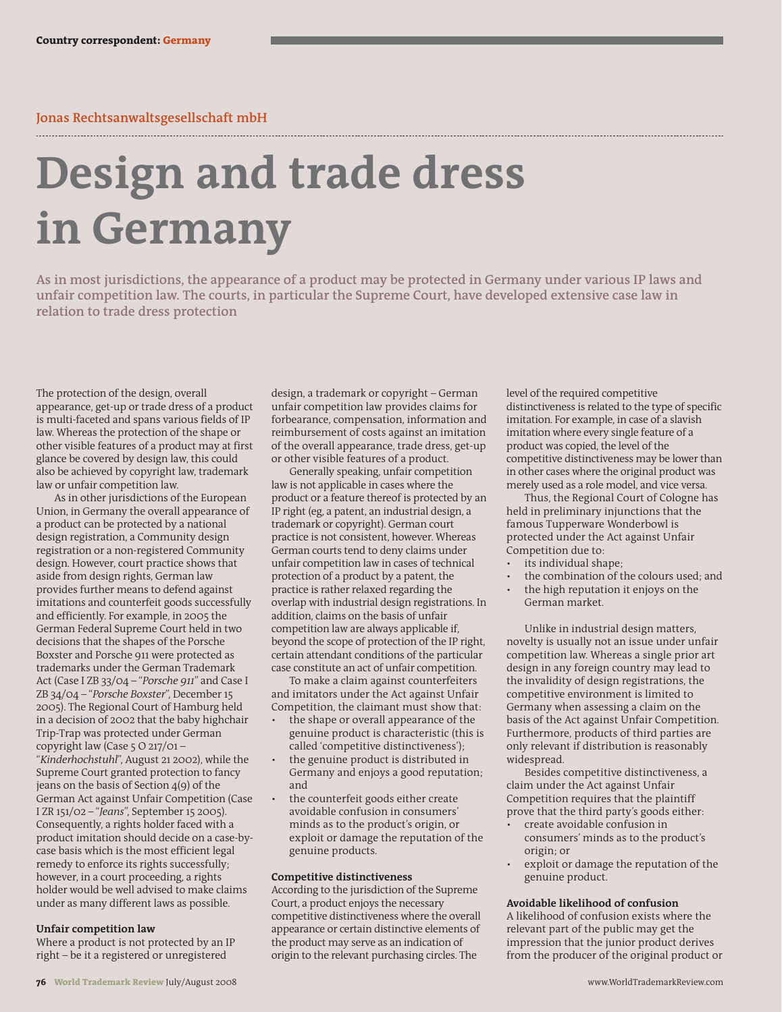# **Jonas Rechtsanwaltsgesellschaft mbH**

# **Design and trade dress in Germany**

**As in most jurisdictions, the appearance of a product may be protected in Germany under various IP laws and unfair competition law. The courts, in particular the Supreme Court, have developed extensive case law in relation to trade dress protection**

The protection of the design, overall appearance, get-up or trade dress of a product is multi-faceted and spans various fields of IP law. Whereas the protection of the shape or other visible features of a product may at first glance be covered by design law, this could also be achieved by copyright law, trademark law or unfair competition law.

As in other jurisdictions of the European Union, in Germany the overall appearance of a product can be protected by a national design registration, a Community design registration or a non-registered Community design. However, court practice shows that aside from design rights, German law provides further means to defend against imitations and counterfeit goods successfully and efficiently. For example, in 2005 the German Federal Supreme Court held in two decisions that the shapes of the Porsche Boxster and Porsche 911 were protected as trademarks under the German Trademark Act (Case I ZB 33/04 – "*Porsche 911*" and Case I ZB 34/04 – "*Porsche Boxster*", December 15 2005). The Regional Court of Hamburg held in a decision of 2002 that the baby highchair Trip-Trap was protected under German copyright law (Case 5 O 217/01 – "*Kinderhochstuhl*", August 21 2002), while the Supreme Court granted protection to fancy jeans on the basis of Section 4(9) of the German Act against Unfair Competition (Case I ZR 151/02 – "*Jeans*", September 15 2005). Consequently, a rights holder faced with a product imitation should decide on a case-bycase basis which is the most efficient legal remedy to enforce its rights successfully; however, in a court proceeding, a rights holder would be well advised to make claims under as many different laws as possible.

## **Unfair competition law**

Where a product is not protected by an IP right – be it a registered or unregistered

design, a trademark or copyright – German unfair competition law provides claims for forbearance, compensation, information and reimbursement of costs against an imitation of the overall appearance, trade dress, get-up or other visible features of a product.

Generally speaking, unfair competition law is not applicable in cases where the product or a feature thereof is protected by an IP right (eg, a patent, an industrial design, a trademark or copyright). German court practice is not consistent, however. Whereas German courts tend to deny claims under unfair competition law in cases of technical protection of a product by a patent, the practice is rather relaxed regarding the overlap with industrial design registrations. In addition, claims on the basis of unfair competition law are always applicable if, beyond the scope of protection of the IP right, certain attendant conditions of the particular case constitute an act of unfair competition.

To make a claim against counterfeiters and imitators under the Act against Unfair Competition, the claimant must show that:

- the shape or overall appearance of the genuine product is characteristic (this is called 'competitive distinctiveness'); • the genuine product is distributed in
- Germany and enjoys a good reputation; and
- the counterfeit goods either create avoidable confusion in consumers' minds as to the product's origin, or exploit or damage the reputation of the genuine products.

### **Competitive distinctiveness**

According to the jurisdiction of the Supreme Court, a product enjoys the necessary competitive distinctiveness where the overall appearance or certain distinctive elements of the product may serve as an indication of origin to the relevant purchasing circles. The

level of the required competitive distinctiveness is related to the type of specific imitation. For example, in case of a slavish imitation where every single feature of a product was copied, the level of the competitive distinctiveness may be lower than in other cases where the original product was merely used as a role model, and vice versa.

Thus, the Regional Court of Cologne has held in preliminary injunctions that the famous Tupperware Wonderbowl is protected under the Act against Unfair Competition due to:

- its individual shape;
- the combination of the colours used; and
- the high reputation it enjoys on the German market.

Unlike in industrial design matters, novelty is usually not an issue under unfair competition law. Whereas a single prior art design in any foreign country may lead to the invalidity of design registrations, the competitive environment is limited to Germany when assessing a claim on the basis of the Act against Unfair Competition. Furthermore, products of third parties are only relevant if distribution is reasonably widespread.

Besides competitive distinctiveness, a claim under the Act against Unfair Competition requires that the plaintiff prove that the third party's goods either:

- create avoidable confusion in consumers' minds as to the product's origin; or
- exploit or damage the reputation of the genuine product.

#### **Avoidable likelihood of confusion**

A likelihood of confusion exists where the relevant part of the public may get the impression that the junior product derives from the producer of the original product or